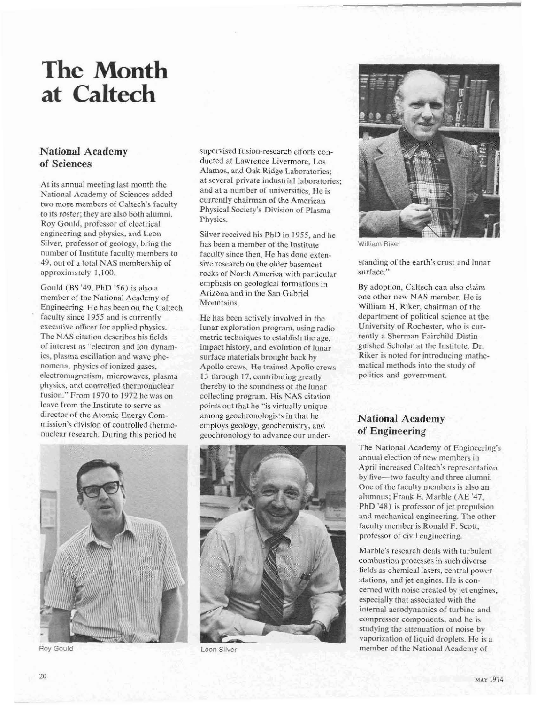# **The Month at Caltech**

## **National Academy of Sciences**

At its annual meeting last month the National Academy of Sciences added two more members of Caltech's faculty to its roster; they are also both alumni. Roy Gould, professor of electrical engineering and physics, and Leon Silver, professor of geology, bring the number of Institute faculty members to **49,** out of **a** total NAS membership of approximately 1,100.

Gould (BS **'49,** PhD **'56)** is alsoa member of the National Academy of Engineering. He has been on the Caltech faculty since 1955 and is currently executive officer for applied physics. The NAS citation describes his fields of interest as "electron and ion dynamics, plasma oscillation and wave phenomena, physics of ionized gases. electromagnetism, microwaves, plasma physics, and controlled thermonuclear fusion." From 1970 to 1972 he was on leave from the Institute to serve as director of the Atomic Energy Commission's division of controlled thermonuclear research. During this period he



**Roy Gould** 

supervised fusion-rsearch efforts conducted at Lawrence Livermore, Los Alamos, and Oak Ridge Laboratories; at several private industrial laboratories; and at a number of universities. He is currently chairman of the American Physical Society's Division of Plasma Physics.

Silver received his PhD in **1955.** and he has been a member of the Institute faculty since then. He has done extensive research on the older basement rocks of North America with particular emphasis on geological formations in Arizona and in the San Gabriel Mountains.

He has been actively involved in the lunar exploration program, using radiometric techniques to establish the age, impact history, and evolution of lunar surface materials brought back by Apollo crews. He trained Apollo crews 13 through 17, contributing greatly thereby to the soundnessof the lunar collecting program. His NAS citation points out that he "is virtually unique among geochronologists in that he employs geology, geochemistry, and geochronology to advance our under-



Leon Silver



William Riker

standing of the earth's crust and lunar surface."

By adoption, Caltech can also claim one other new NAS member. He is William H. Riker, chairman of the department of political science at the Univemity of Rochester, who is currently a Sherman Fairchild Distinguished Scholar at the Institute. Dr. Riker is noted for introducing mathematical methods into the study of politics and government.

## **National Academy of Engineering**

The National Academy of Engineering's annual election of new members in April increased Caltech's representation by five-two faculty and three alumni. One of the faculty members is also an alumnus; Frank E. Marble (AE **'47,**  PhD '48) is professor of jet propulsion and mechanical engineering. The other faculty member is Ronald F. Scott. professor of civil engineering.

Marble's rcsearch deals with turbulent comhustion processes in such diverse fields as chemical lasers, central power stations, and jet engines. He is concerned with noise created by jet engines, especially that associated with the internal aerodynamics of turbine and compressor components, and he is studying the attenuation of noise by vaporization of liquid droplets. He is a member of the National Academy of